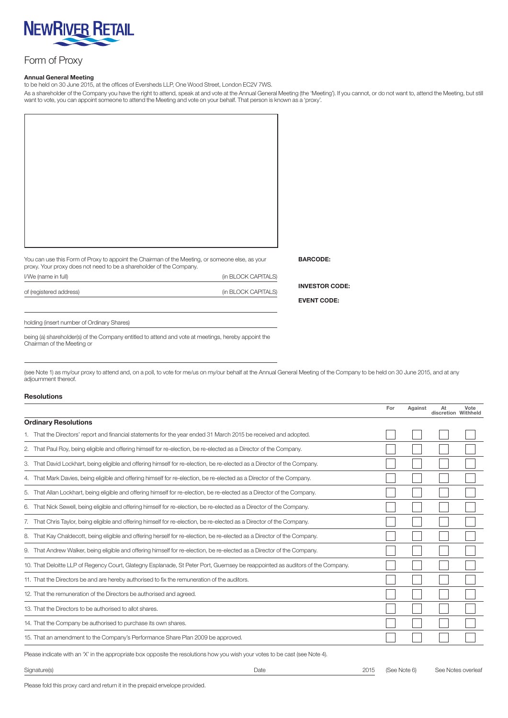

## Form of Proxy

## Annual General Meeting

to be held on 30 June 2015, at the offices of Eversheds LLP, One Wood Street, London EC2V 7WS.

As a shareholder of the Company you have the right to attend, speak at and vote at the Annual General Meeting (the 'Meeting'). If you cannot, or do not want to, attend the Meeting, but still want to vote, you can appoint someone to attend the Meeting and vote on your behalf. That person is known as a 'proxy'.

You can use this Form of Proxy to appoint the Chairman of the Meeting, or someone else, as your proxy. Your proxy does not need to be a shareholder of the Company. I/We (name in full) (in BLOCK CAPITALS)

of (registered address) (in BLOCK CAPITALS)

INVESTOR CODE:

BARCODE:

EVENT CODE:

holding (insert number of Ordinary Shares)

being (a) shareholder(s) of the Company entitled to attend and vote at meetings, hereby appoint the Chairman of the Meeting or

(see Note 1) as my/our proxy to attend and, on a poll, to vote for me/us on my/our behalf at the Annual General Meeting of the Company to be held on 30 June 2015, and at any adjournment thereof.

## Resolutions

|                                                                                                                                | For | Against | At<br>discretion Withheld | Vote |  |
|--------------------------------------------------------------------------------------------------------------------------------|-----|---------|---------------------------|------|--|
| <b>Ordinary Resolutions</b>                                                                                                    |     |         |                           |      |  |
| 1. That the Directors' report and financial statements for the year ended 31 March 2015 be received and adopted.               |     |         |                           |      |  |
| 2. That Paul Roy, being eligible and offering himself for re-election, be re-elected as a Director of the Company.             |     |         |                           |      |  |
| 3. That David Lockhart, being eligible and offering himself for re-election, be re-elected as a Director of the Company.       |     |         |                           |      |  |
| 4. That Mark Davies, being eligible and offering himself for re-election, be re-elected as a Director of the Company.          |     |         |                           |      |  |
| 5. That Allan Lockhart, being eligible and offering himself for re-election, be re-elected as a Director of the Company.       |     |         |                           |      |  |
| 6. That Nick Sewell, being eligible and offering himself for re-election, be re-elected as a Director of the Company.          |     |         |                           |      |  |
| 7. That Chris Taylor, being eligible and offering himself for re-election, be re-elected as a Director of the Company.         |     |         |                           |      |  |
| 8. That Kay Chaldecott, being eligible and offering herself for re-election, be re-elected as a Director of the Company.       |     |         |                           |      |  |
| 9. That Andrew Walker, being eligible and offering himself for re-election, be re-elected as a Director of the Company.        |     |         |                           |      |  |
| 10. That Deloitte LLP of Regency Court, Glategny Esplanade, St Peter Port, Guernsey be reappointed as auditors of the Company. |     |         |                           |      |  |
| 11. That the Directors be and are hereby authorised to fix the remuneration of the auditors.                                   |     |         |                           |      |  |
| 12. That the remuneration of the Directors be authorised and agreed.                                                           |     |         |                           |      |  |
| 13. That the Directors to be authorised to allot shares.                                                                       |     |         |                           |      |  |
| 14. That the Company be authorised to purchase its own shares.                                                                 |     |         |                           |      |  |
| 15. That an amendment to the Company's Performance Share Plan 2009 be approved.                                                |     |         |                           |      |  |
|                                                                                                                                |     |         |                           |      |  |

Please indicate with an 'X' in the appropriate box opposite the resolutions how you wish your votes to be cast (see Note 4).